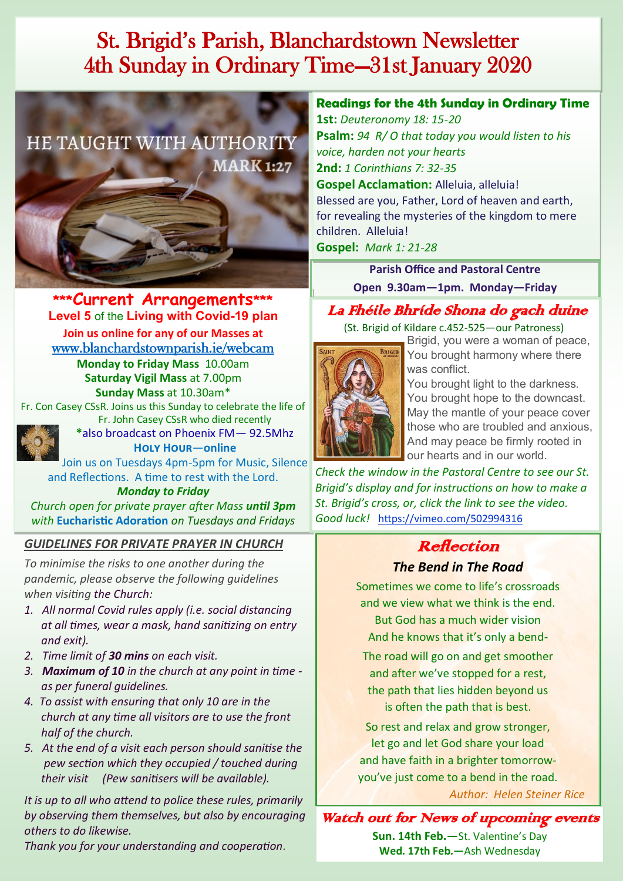# St. Brigid's Parish, Blanchardstown Newsletter 4th Sunday in Ordinary Time—31st January 2020



**\*\*\*Current Arrangements\*\*\* Level 5** of the **Living with Covid-19 plan Join us online for any of our Masses at**  [www.blanchardstownparish.ie/webcam](http://www.blanchardstownparish.ie/webcam) **Monday to Friday Mass** 10.00am **Saturday Vigil Mass** at 7.00pm

**Sunday Mass** at 10.30am\*

Fr. Con Casey CSsR. Joins us this Sunday to celebrate the life of



Fr. John Casey CSsR who died recently **\***also broadcast on Phoenix FM— 92.5Mhz **Holy Hour**—**online**

Join us on Tuesdays 4pm-5pm for Music, Silence and Reflections. A time to rest with the Lord.

*Monday to Friday Church open for private prayer after Mass until 3pm with* **Eucharistic Adoration** *on Tuesdays and Fridays* 

### *GUIDELINES FOR PRIVATE PRAYER IN CHURCH*

*To minimise the risks to one another during the pandemic, please observe the following guidelines when visiting the Church:*

- *1. All normal Covid rules apply (i.e. social distancing at all times, wear a mask, hand sanitizing on entry and exit).*
- *2. Time limit of 30 mins on each visit.*
- *3. Maximum of 10 in the church at any point in time as per funeral guidelines.*
- *4. To assist with ensuring that only 10 are in the church at any time all visitors are to use the front half of the church.*
- *5. At the end of a visit each person should sanitise the pew section which they occupied / touched during their visit (Pew sanitisers will be available).*

*It is up to all who attend to police these rules, primarily by observing them themselves, but also by encouraging others to do likewise.*

*Thank you for your understanding and cooperation.*

## **Readings for the 4th Sunday in Ordinary Time**

**1st:** *Deuteronomy 18: 15-20* **Psalm:** *94 R/ O that today you would listen to his voice, harden not your hearts* **2nd:** *1 Corinthians 7: 32-35* **Gospel Acclamation:** Alleluia, alleluia! Blessed are you, Father, Lord of heaven and earth, for revealing the mysteries of the kingdom to mere children. Alleluia!

**Gospel:** *Mark 1: 21-28*

**Parish Office and Pastoral Centre Open 9.30am—1pm. Monday—Friday**

## La Fhéile Bhríde Shona do gach duine

 (St. Brigid of Kildare c.452-525—our Patroness) **BRIGID** 



Brigid, you were a woman of peace, You brought harmony where there was conflict.

You brought light to the darkness. You brought hope to the downcast. May the mantle of your peace cover those who are troubled and anxious, And may peace be firmly rooted in our hearts and in our world.

*Check the window in the Pastoral Centre to see our St. Brigid's display and for instructions on how to make a St. Brigid's cross, or, click the link to see the video. Good luck!* <https://vimeo.com/502994316>

## Reflection *The Bend in The Road*

Sometimes we come to life's crossroads and we view what we think is the end. But God has a much wider vision And he knows that it's only a bend-

The road will go on and get smoother and after we've stopped for a rest, the path that lies hidden beyond us is often the path that is best.

So rest and relax and grow stronger, let go and let God share your load and have faith in a brighter tomorrowyou've just come to a bend in the road.

*Author: Helen Steiner Rice*

Watch out for News of upcoming events

**Sun. 14th Feb.—**St. Valentine's Day **Wed. 17th Feb.—**Ash Wednesday